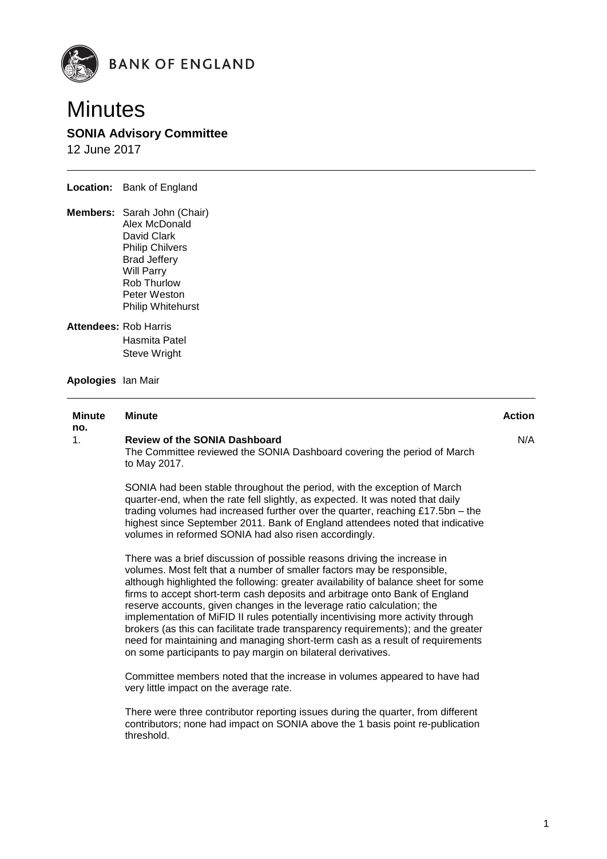



# **SONIA Advisory Committee**

12 June 2017

**Location:** Bank of England

- **Members:** Sarah John (Chair) Alex McDonald David Clark Philip Chilvers Brad Jeffery Will Parry Rob Thurlow Peter Weston Philip Whitehurst
- **Attendees:** Rob Harris Hasmita Patel Steve Wright
- **Apologies** Ian Mair

#### **Minute no. Minute Action**  1. **Review of the SONIA Dashboard** The Committee reviewed the SONIA Dashboard covering the period of March to May 2017. SONIA had been stable throughout the period, with the exception of March quarter-end, when the rate fell slightly, as expected. It was noted that daily trading volumes had increased further over the quarter, reaching £17.5bn – the highest since September 2011. Bank of England attendees noted that indicative volumes in reformed SONIA had also risen accordingly. N/A

There was a brief discussion of possible reasons driving the increase in volumes. Most felt that a number of smaller factors may be responsible, although highlighted the following: greater availability of balance sheet for some firms to accept short-term cash deposits and arbitrage onto Bank of England reserve accounts, given changes in the leverage ratio calculation; the implementation of MiFID II rules potentially incentivising more activity through brokers (as this can facilitate trade transparency requirements); and the greater need for maintaining and managing short-term cash as a result of requirements on some participants to pay margin on bilateral derivatives.

Committee members noted that the increase in volumes appeared to have had very little impact on the average rate.

There were three contributor reporting issues during the quarter, from different contributors; none had impact on SONIA above the 1 basis point re-publication threshold.